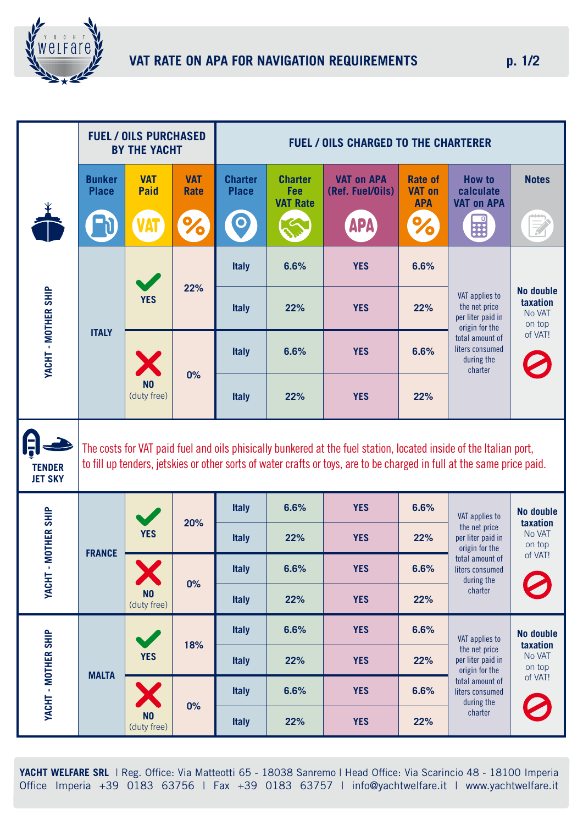

|                                 | <b>FUEL / OILS PURCHASED</b><br><b>BY THE YACHT</b>                                                                                                                                                                                         |                                     |                           | <b>FUEL / OILS CHARGED TO THE CHARTERER</b> |                                          |                                       |                                               |                                                                                                                                       |                                           |
|---------------------------------|---------------------------------------------------------------------------------------------------------------------------------------------------------------------------------------------------------------------------------------------|-------------------------------------|---------------------------|---------------------------------------------|------------------------------------------|---------------------------------------|-----------------------------------------------|---------------------------------------------------------------------------------------------------------------------------------------|-------------------------------------------|
|                                 | <b>Bunker</b><br><b>Place</b>                                                                                                                                                                                                               | <b>VAT</b><br><b>Paid</b>           | <b>VAT</b><br><b>Rate</b> | <b>Charter</b><br><b>Place</b>              | <b>Charter</b><br>Fee<br><b>VAT Rate</b> | <b>VAT on APA</b><br>(Ref. Fuel/Oils) | <b>Rate of</b><br><b>VAT on</b><br><b>APA</b> | <b>How to</b><br>calculate<br><b>VAT on APA</b>                                                                                       | <b>Notes</b>                              |
|                                 |                                                                                                                                                                                                                                             | <b>TAI</b>                          |                           |                                             |                                          | APA                                   | 10                                            | H                                                                                                                                     |                                           |
| YACHT - MOTHER SHIP             | <b>ITALY</b>                                                                                                                                                                                                                                | <b>YES</b>                          | 22%                       | <b>Italy</b>                                | 6.6%                                     | <b>YES</b>                            | 6.6%                                          | VAT applies to<br>the net price<br>per liter paid in<br>origin for the<br>total amount of<br>liters consumed<br>during the<br>charter |                                           |
|                                 |                                                                                                                                                                                                                                             |                                     |                           | <b>Italy</b>                                | 22%                                      | <b>YES</b>                            | 22%                                           |                                                                                                                                       | No double<br>taxation<br>No VAT<br>on top |
|                                 |                                                                                                                                                                                                                                             |                                     |                           | <b>Italy</b>                                | 6.6%                                     | <b>YES</b>                            | 6.6%                                          |                                                                                                                                       | of VAT!                                   |
|                                 |                                                                                                                                                                                                                                             | N <sub>0</sub><br>(duty free)       | 0%                        | <b>Italy</b>                                | 22%                                      | <b>YES</b>                            | 22%                                           |                                                                                                                                       |                                           |
| <b>TENDER</b><br><b>JET SKY</b> | The costs for VAT paid fuel and oils phisically bunkered at the fuel station, located inside of the Italian port,<br>to fill up tenders, jetskies or other sorts of water crafts or toys, are to be charged in full at the same price paid. |                                     |                           |                                             |                                          |                                       |                                               |                                                                                                                                       |                                           |
| YACHT - MOTHER SHIP             | <b>FRANCE</b>                                                                                                                                                                                                                               | <b>YES</b>                          | 20%                       | <b>Italy</b>                                | 6.6%                                     | <b>YES</b>                            | 6.6%                                          | VAT applies to<br>the net price<br>per liter paid in<br>origin for the<br>total amount of<br>liters consumed<br>during the<br>charter | No double<br>taxation                     |
|                                 |                                                                                                                                                                                                                                             |                                     |                           | <b>Italy</b>                                | 22%                                      | <b>YES</b>                            | 22%                                           |                                                                                                                                       | No VAT<br>on top                          |
|                                 |                                                                                                                                                                                                                                             | 0%<br>N <sub>0</sub><br>(duty free) |                           | <b>Italy</b>                                | 6.6%                                     | <b>YES</b>                            | 6.6%                                          |                                                                                                                                       | of VAT!                                   |
|                                 |                                                                                                                                                                                                                                             |                                     |                           | <b>Italy</b>                                | 22%                                      | <b>YES</b>                            | 22%                                           |                                                                                                                                       |                                           |
| YACHT - MOTHER SHIP             | <b>MALTA</b>                                                                                                                                                                                                                                | <b>YES</b>                          | 18%                       | <b>Italy</b>                                | 6.6%                                     | <b>YES</b>                            | 6.6%                                          | VAT applies to<br>the net price<br>per liter paid in<br>origin for the<br>total amount of<br>liters consumed<br>during the<br>charter | No double                                 |
|                                 |                                                                                                                                                                                                                                             |                                     |                           | <b>Italy</b>                                | 22%                                      | <b>YES</b>                            | 22%                                           |                                                                                                                                       | taxation<br>No VAT<br>on top              |
|                                 |                                                                                                                                                                                                                                             | N <sub>0</sub><br>(duty free)       | 0%                        | <b>Italy</b>                                | 6.6%                                     | <b>YES</b>                            | 6.6%                                          |                                                                                                                                       | of VAT!                                   |
|                                 |                                                                                                                                                                                                                                             |                                     |                           | <b>Italy</b>                                | 22%                                      | <b>YES</b>                            | 22%                                           |                                                                                                                                       |                                           |

**YACHT WELFARE SRL** | Reg. Office: Via Matteotti 65 - 18038 Sanremo | Head Office: Via Scarincio 48 - 18100 Imperia Office Imperia +39 0183 63756 | Fax +39 0183 63757 | info@yachtwelfare.it | www.yachtwelfare.it